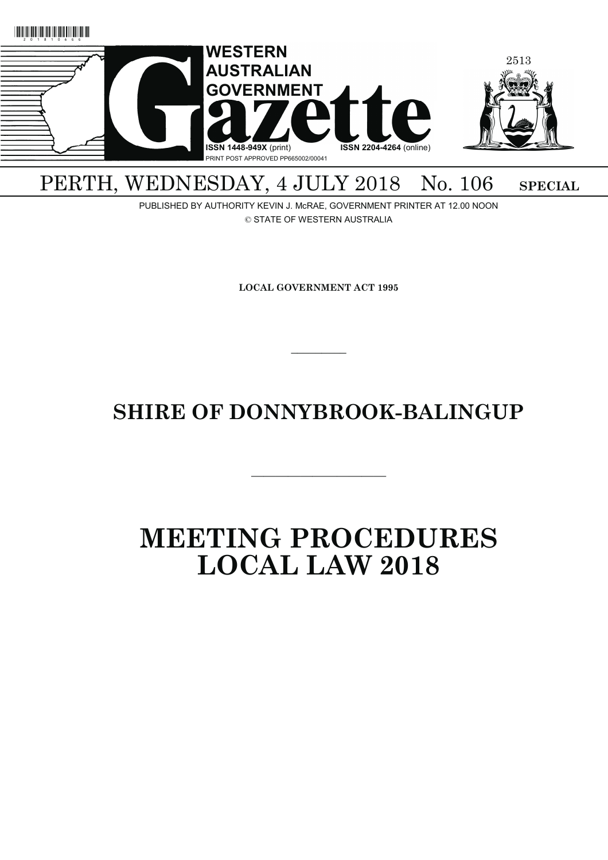

# PERTH, WEDNESDAY, 4 JULY 2018 No. 106 SPECIAL

PUBLISHED BY AUTHORITY KEVIN J. McRAE, GOVERNMENT PRINTER AT 12.00 NOON © STATE OF WESTERN AUSTRALIA

**LOCAL GOVERNMENT ACT 1995**

# **SHIRE OF DONNYBROOK-BALINGUP**

———————————

 $\overline{\phantom{a}}$ 

# **MEETING PROCEDURES LOCAL LAW 2018**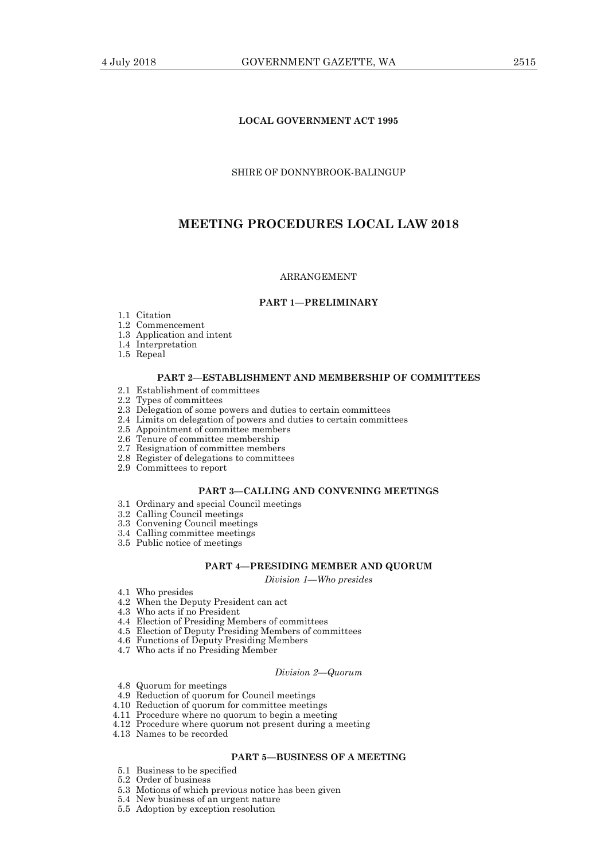# **LOCAL GOVERNMENT ACT 1995**

## SHIRE OF DONNYBROOK-BALINGUP

# **MEETING PROCEDURES LOCAL LAW 2018**

#### ARRANGEMENT

## **PART 1—PRELIMINARY**

- 1.1 Citation
- 1.2 Commencement
- 1.3 Application and intent
- 1.4 Interpretation
- 1.5 Repeal

# **PART 2—ESTABLISHMENT AND MEMBERSHIP OF COMMITTEES**

- 2.1 Establishment of committees
- 2.2 Types of committees
- 2.3 Delegation of some powers and duties to certain committees
- 2.4 Limits on delegation of powers and duties to certain committees
- 2.5 Appointment of committee members
- 2.6 Tenure of committee membership
- 2.7 Resignation of committee members
- 2.8 Register of delegations to committees
- 2.9 Committees to report

# **PART 3—CALLING AND CONVENING MEETINGS**

- 3.1 Ordinary and special Council meetings
- 3.2 Calling Council meetings
- 3.3 Convening Council meetings
- 3.4 Calling committee meetings
- 3.5 Public notice of meetings

# **PART 4—PRESIDING MEMBER AND QUORUM**

*Division 1—Who presides* 

- 4.1 Who presides
- 4.2 When the Deputy President can act
- 4.3 Who acts if no President
- 4.4 Election of Presiding Members of committees
- 4.5 Election of Deputy Presiding Members of committees
- 4.6 Functions of Deputy Presiding Members
- 4.7 Who acts if no Presiding Member

#### *Division 2—Quorum*

- 4.8 Quorum for meetings
- 4.9 Reduction of quorum for Council meetings
- 4.10 Reduction of quorum for committee meetings
- 4.11 Procedure where no quorum to begin a meeting
- 4.12 Procedure where quorum not present during a meeting
- 4.13 Names to be recorded

# **PART 5—BUSINESS OF A MEETING**

- 5.1 Business to be specified
- 5.2 Order of business
- 5.3 Motions of which previous notice has been given
- 5.4 New business of an urgent nature
- 5.5 Adoption by exception resolution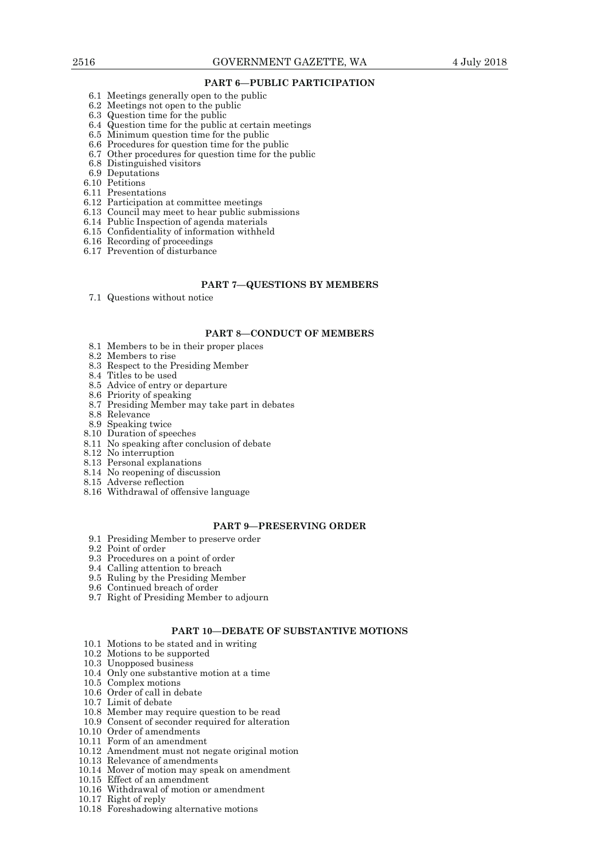## **PART 6—PUBLIC PARTICIPATION**

- 6.1 Meetings generally open to the public
- 6.2 Meetings not open to the public
- 6.3 Question time for the public
- 6.4 Question time for the public at certain meetings
- 6.5 Minimum question time for the public
- 6.6 Procedures for question time for the public
- 6.7 Other procedures for question time for the public
	- 6.8 Distinguished visitors
	- 6.9 Deputations
	- 6.10 Petitions
	- 6.11 Presentations
	- 6.12 Participation at committee meetings
	- 6.13 Council may meet to hear public submissions
	- 6.14 Public Inspection of agenda materials
	- 6.15 Confidentiality of information withheld
	- 6.16 Recording of proceedings
	- 6.17 Prevention of disturbance

#### **PART 7—QUESTIONS BY MEMBERS**

7.1 Questions without notice

#### **PART 8—CONDUCT OF MEMBERS**

- 8.1 Members to be in their proper places
- 8.2 Members to rise
- 8.3 Respect to the Presiding Member
- 8.4 Titles to be used
- 8.5 Advice of entry or departure
- 8.6 Priority of speaking
- 8.7 Presiding Member may take part in debates
- 8.8 Relevance
- 8.9 Speaking twice
- 8.10 Duration of speeches
- 8.11 No speaking after conclusion of debate
- 8.12 No interruption
- 8.13 Personal explanations
- 8.14 No reopening of discussion
- 8.15 Adverse reflection
- 8.16 Withdrawal of offensive language

## **PART 9—PRESERVING ORDER**

- 9.1 Presiding Member to preserve order
- 9.2 Point of order
- 9.3 Procedures on a point of order
- 9.4 Calling attention to breach
- 9.5 Ruling by the Presiding Member
	- 9.6 Continued breach of order
	- 9.7 Right of Presiding Member to adjourn

# **PART 10—DEBATE OF SUBSTANTIVE MOTIONS**

- 10.1 Motions to be stated and in writing
- 10.2 Motions to be supported
- 10.3 Unopposed business
- 10.4 Only one substantive motion at a time
- 10.5 Complex motions
- 10.6 Order of call in debate
- 10.7 Limit of debate
- 10.8 Member may require question to be read
- 10.9 Consent of seconder required for alteration
- 10.10 Order of amendments
- 10.11 Form of an amendment
- 10.12 Amendment must not negate original motion
- 10.13 Relevance of amendments
- 10.14 Mover of motion may speak on amendment
- 10.15 Effect of an amendment
- 10.16 Withdrawal of motion or amendment
- 10.17 Right of reply
- 10.18 Foreshadowing alternative motions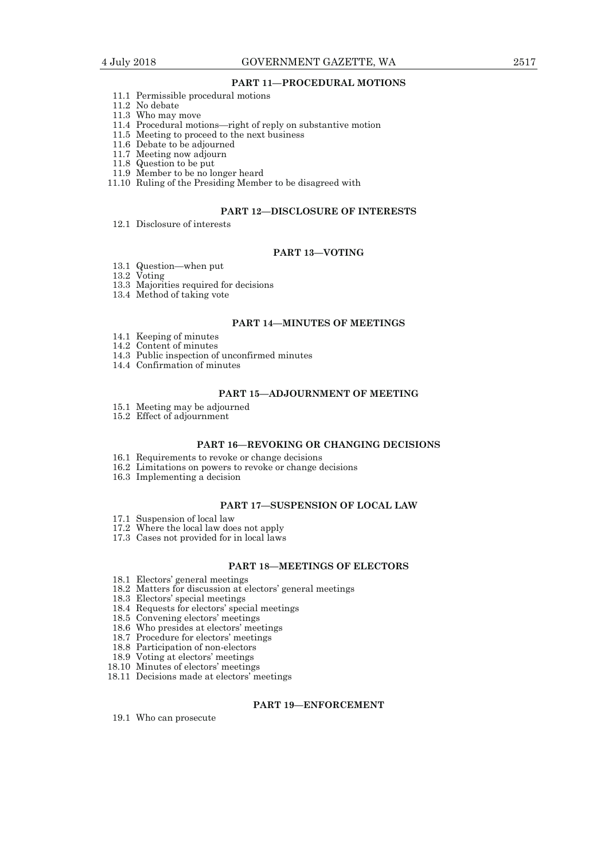## **PART 11—PROCEDURAL MOTIONS**

- 11.1 Permissible procedural motions
- 11.2 No debate
- 11.3 Who may move
- 11.4 Procedural motions—right of reply on substantive motion
- 11.5 Meeting to proceed to the next business
- 11.6 Debate to be adjourned
- 11.7 Meeting now adjourn
	- 11.8 Question to be put
	- 11.9 Member to be no longer heard
- 11.10 Ruling of the Presiding Member to be disagreed with

#### **PART 12—DISCLOSURE OF INTERESTS**

12.1 Disclosure of interests

# **PART 13—VOTING**

- 13.1 Question—when put
- 13.2 Voting
- 13.3 Majorities required for decisions
- 13.4 Method of taking vote

## **PART 14—MINUTES OF MEETINGS**

- 14.1 Keeping of minutes
- 14.2 Content of minutes
- 14.3 Public inspection of unconfirmed minutes
- 14.4 Confirmation of minutes

## **PART 15—ADJOURNMENT OF MEETING**

- 15.1 Meeting may be adjourned
- 15.2 Effect of adjournment

## **PART 16—REVOKING OR CHANGING DECISIONS**

- 16.1 Requirements to revoke or change decisions
- 16.2 Limitations on powers to revoke or change decisions
- 16.3 Implementing a decision

# **PART 17—SUSPENSION OF LOCAL LAW**

- 17.1 Suspension of local law
- 17.2 Where the local law does not apply
- 17.3 Cases not provided for in local laws

## **PART 18—MEETINGS OF ELECTORS**

- 18.1 Electors' general meetings
- 18.2 Matters for discussion at electors' general meetings
	- 18.3 Electors' special meetings
	- 18.4 Requests for electors' special meetings
	- 18.5 Convening electors' meetings
	- 18.6 Who presides at electors' meetings
- 18.7 Procedure for electors' meetings
- 18.8 Participation of non-electors
	- 18.9 Voting at electors' meetings
- 18.10 Minutes of electors' meetings
- 18.11 Decisions made at electors' meetings

## **PART 19—ENFORCEMENT**

19.1 Who can prosecute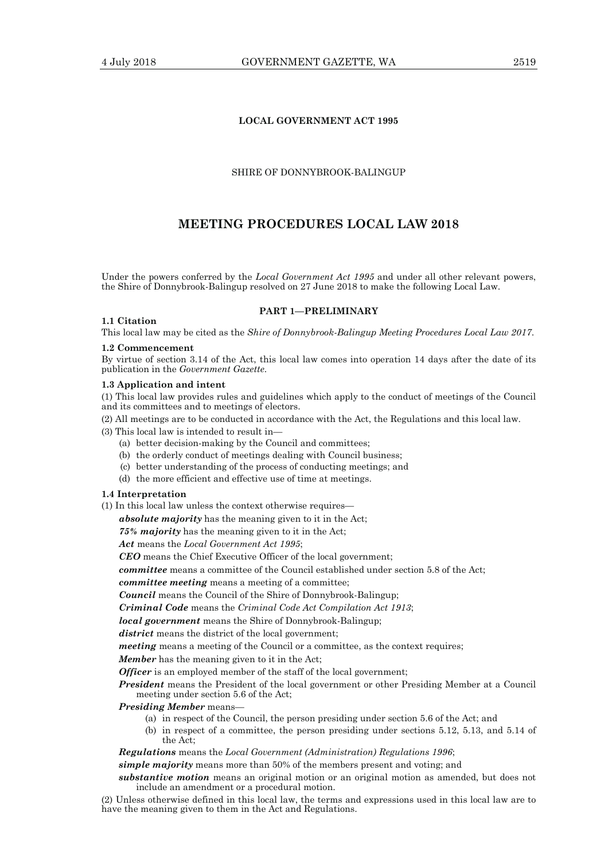# **LOCAL GOVERNMENT ACT 1995**

## SHIRE OF DONNYBROOK-BALINGUP

# **MEETING PROCEDURES LOCAL LAW 2018**

Under the powers conferred by the *Local Government Act 1995* and under all other relevant powers, the Shire of Donnybrook-Balingup resolved on 27 June 2018 to make the following Local Law.

#### **1.1 Citation**

**PART 1—PRELIMINARY** 

This local law may be cited as the *Shire of Donnybrook-Balingup Meeting Procedures Local Law 2017*.

#### **1.2 Commencement**

By virtue of section 3.14 of the Act, this local law comes into operation 14 days after the date of its publication in the *Government Gazette*.

#### **1.3 Application and intent**

(1) This local law provides rules and guidelines which apply to the conduct of meetings of the Council and its committees and to meetings of electors.

(2) All meetings are to be conducted in accordance with the Act, the Regulations and this local law.

(3) This local law is intended to result in—

- (a) better decision-making by the Council and committees;
- (b) the orderly conduct of meetings dealing with Council business;
- (c) better understanding of the process of conducting meetings; and
- (d) the more efficient and effective use of time at meetings.

#### **1.4 Interpretation**

(1) In this local law unless the context otherwise requires—

*absolute majority* has the meaning given to it in the Act;

*75% majority* has the meaning given to it in the Act;

*Act* means the *Local Government Act 1995*;

*CEO* means the Chief Executive Officer of the local government;

*committee* means a committee of the Council established under section 5.8 of the Act;

*committee meeting* means a meeting of a committee;

*Council* means the Council of the Shire of Donnybrook-Balingup;

*Criminal Code* means the *Criminal Code Act Compilation Act 1913*;

*local government* means the Shire of Donnybrook-Balingup;

*district* means the district of the local government:

*meeting* means a meeting of the Council or a committee, as the context requires;

*Member* has the meaning given to it in the Act;

*Officer* is an employed member of the staff of the local government;

*President* means the President of the local government or other Presiding Member at a Council meeting under section 5.6 of the Act;

*Presiding Member* means—

- (a) in respect of the Council, the person presiding under section 5.6 of the Act; and
- (b) in respect of a committee, the person presiding under sections 5.12, 5.13, and 5.14 of the Act;

*Regulations* means the *Local Government (Administration) Regulations 1996*;

*simple majority* means more than 50% of the members present and voting; and

*substantive motion* means an original motion or an original motion as amended, but does not include an amendment or a procedural motion.

(2) Unless otherwise defined in this local law, the terms and expressions used in this local law are to have the meaning given to them in the Act and Regulations.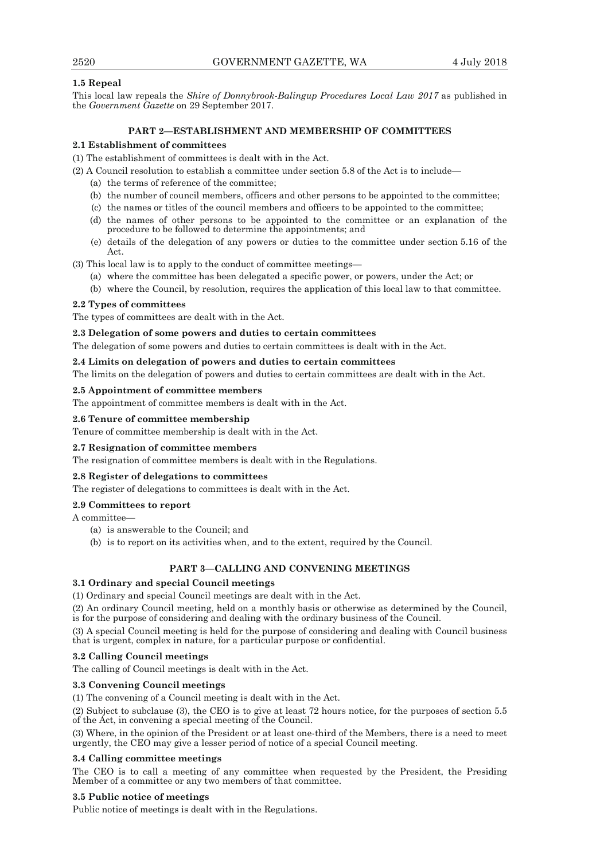# **1.5 Repeal**

This local law repeals the *Shire of Donnybrook-Balingup Procedures Local Law 2017* as published in the *Government Gazette* on 29 September 2017.

# **PART 2—ESTABLISHMENT AND MEMBERSHIP OF COMMITTEES**

# **2.1 Establishment of committees**

(1) The establishment of committees is dealt with in the Act.

(2) A Council resolution to establish a committee under section 5.8 of the Act is to include—

- (a) the terms of reference of the committee;
- (b) the number of council members, officers and other persons to be appointed to the committee;
- (c) the names or titles of the council members and officers to be appointed to the committee;
- (d) the names of other persons to be appointed to the committee or an explanation of the procedure to be followed to determine the appointments; and
- (e) details of the delegation of any powers or duties to the committee under section 5.16 of the Act.

(3) This local law is to apply to the conduct of committee meetings—

- (a) where the committee has been delegated a specific power, or powers, under the Act; or
- (b) where the Council, by resolution, requires the application of this local law to that committee.

# **2.2 Types of committees**

The types of committees are dealt with in the Act.

## **2.3 Delegation of some powers and duties to certain committees**

The delegation of some powers and duties to certain committees is dealt with in the Act.

# **2.4 Limits on delegation of powers and duties to certain committees**

The limits on the delegation of powers and duties to certain committees are dealt with in the Act.

# **2.5 Appointment of committee members**

The appointment of committee members is dealt with in the Act.

# **2.6 Tenure of committee membership**

Tenure of committee membership is dealt with in the Act.

# **2.7 Resignation of committee members**

The resignation of committee members is dealt with in the Regulations.

## **2.8 Register of delegations to committees**

The register of delegations to committees is dealt with in the Act.

## **2.9 Committees to report**

A committee—

- (a) is answerable to the Council; and
- (b) is to report on its activities when, and to the extent, required by the Council.

# **PART 3—CALLING AND CONVENING MEETINGS**

# **3.1 Ordinary and special Council meetings**

(1) Ordinary and special Council meetings are dealt with in the Act.

(2) An ordinary Council meeting, held on a monthly basis or otherwise as determined by the Council, is for the purpose of considering and dealing with the ordinary business of the Council.

(3) A special Council meeting is held for the purpose of considering and dealing with Council business that is urgent, complex in nature, for a particular purpose or confidential.

# **3.2 Calling Council meetings**

The calling of Council meetings is dealt with in the Act.

## **3.3 Convening Council meetings**

(1) The convening of a Council meeting is dealt with in the Act.

(2) Subject to subclause (3), the CEO is to give at least 72 hours notice, for the purposes of section 5.5 of the Act, in convening a special meeting of the Council.

(3) Where, in the opinion of the President or at least one-third of the Members, there is a need to meet urgently, the CEO may give a lesser period of notice of a special Council meeting.

## **3.4 Calling committee meetings**

The CEO is to call a meeting of any committee when requested by the President, the Presiding Member of a committee or any two members of that committee.

## **3.5 Public notice of meetings**

Public notice of meetings is dealt with in the Regulations.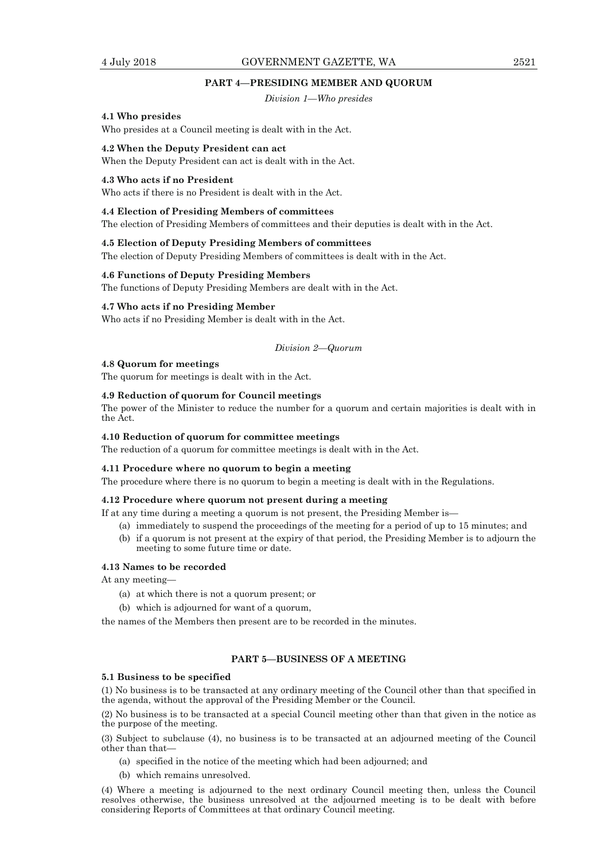# 4 July 2018 GOVERNMENT GAZETTE, WA 2521

#### **PART 4—PRESIDING MEMBER AND QUORUM**

*Division 1—Who presides* 

### **4.1 Who presides**

Who presides at a Council meeting is dealt with in the Act.

#### **4.2 When the Deputy President can act**

When the Deputy President can act is dealt with in the Act.

#### **4.3 Who acts if no President**

Who acts if there is no President is dealt with in the Act.

#### **4.4 Election of Presiding Members of committees**

The election of Presiding Members of committees and their deputies is dealt with in the Act.

## **4.5 Election of Deputy Presiding Members of committees**

The election of Deputy Presiding Members of committees is dealt with in the Act.

## **4.6 Functions of Deputy Presiding Members**

The functions of Deputy Presiding Members are dealt with in the Act.

## **4.7 Who acts if no Presiding Member**

Who acts if no Presiding Member is dealt with in the Act.

#### *Division 2—Quorum*

## **4.8 Quorum for meetings**

The quorum for meetings is dealt with in the Act.

## **4.9 Reduction of quorum for Council meetings**

The power of the Minister to reduce the number for a quorum and certain majorities is dealt with in the Act.

#### **4.10 Reduction of quorum for committee meetings**

The reduction of a quorum for committee meetings is dealt with in the Act.

#### **4.11 Procedure where no quorum to begin a meeting**

The procedure where there is no quorum to begin a meeting is dealt with in the Regulations.

#### **4.12 Procedure where quorum not present during a meeting**

If at any time during a meeting a quorum is not present, the Presiding Member is—

- (a) immediately to suspend the proceedings of the meeting for a period of up to 15 minutes; and
- (b) if a quorum is not present at the expiry of that period, the Presiding Member is to adjourn the meeting to some future time or date.

#### **4.13 Names to be recorded**

At any meeting—

- (a) at which there is not a quorum present; or
- (b) which is adjourned for want of a quorum,

the names of the Members then present are to be recorded in the minutes.

## **PART 5—BUSINESS OF A MEETING**

#### **5.1 Business to be specified**

(1) No business is to be transacted at any ordinary meeting of the Council other than that specified in the agenda, without the approval of the Presiding Member or the Council.

(2) No business is to be transacted at a special Council meeting other than that given in the notice as the purpose of the meeting.

(3) Subject to subclause (4), no business is to be transacted at an adjourned meeting of the Council other than that—

- (a) specified in the notice of the meeting which had been adjourned; and
- (b) which remains unresolved.

(4) Where a meeting is adjourned to the next ordinary Council meeting then, unless the Council resolves otherwise, the business unresolved at the adjourned meeting is to be dealt with before considering Reports of Committees at that ordinary Council meeting.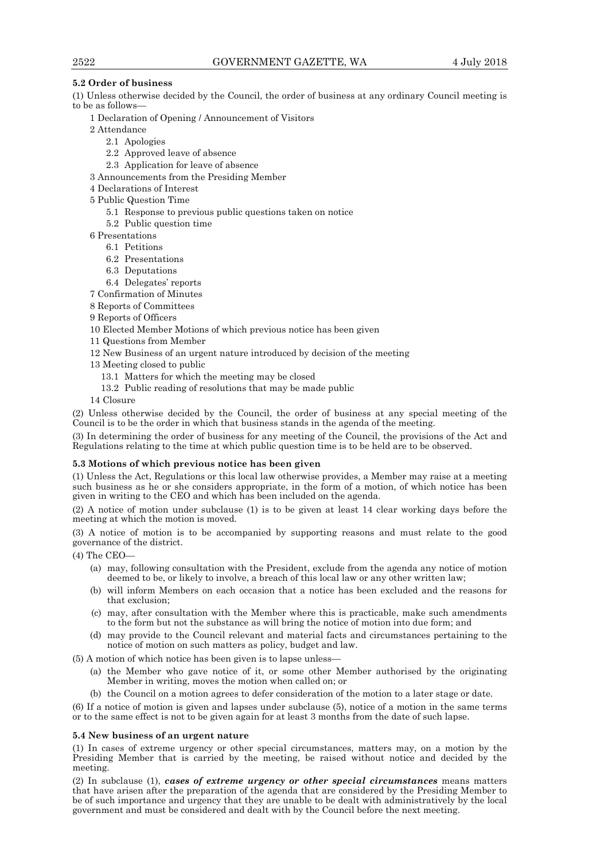# **5.2 Order of business**

(1) Unless otherwise decided by the Council, the order of business at any ordinary Council meeting is to be as follows—

- 1 Declaration of Opening / Announcement of Visitors
- 2 Attendance
	- 2.1 Apologies
	- 2.2 Approved leave of absence
	- 2.3 Application for leave of absence
- 3 Announcements from the Presiding Member
- 4 Declarations of Interest
- 5 Public Question Time
	- 5.1 Response to previous public questions taken on notice
	- 5.2 Public question time
- 6 Presentations
	- 6.1 Petitions
	- 6.2 Presentations
	- 6.3 Deputations
	- 6.4 Delegates' reports
- 7 Confirmation of Minutes
- 8 Reports of Committees
- 9 Reports of Officers
- 10 Elected Member Motions of which previous notice has been given
- 11 Questions from Member
- 12 New Business of an urgent nature introduced by decision of the meeting
- 13 Meeting closed to public
	- 13.1 Matters for which the meeting may be closed
	- 13.2 Public reading of resolutions that may be made public
- 14 Closure

(2) Unless otherwise decided by the Council, the order of business at any special meeting of the Council is to be the order in which that business stands in the agenda of the meeting.

(3) In determining the order of business for any meeting of the Council, the provisions of the Act and Regulations relating to the time at which public question time is to be held are to be observed.

## **5.3 Motions of which previous notice has been given**

(1) Unless the Act, Regulations or this local law otherwise provides, a Member may raise at a meeting such business as he or she considers appropriate, in the form of a motion, of which notice has been given in writing to the CEO and which has been included on the agenda.

(2) A notice of motion under subclause (1) is to be given at least 14 clear working days before the meeting at which the motion is moved.

(3) A notice of motion is to be accompanied by supporting reasons and must relate to the good governance of the district.

(4) The CEO—

- (a) may, following consultation with the President, exclude from the agenda any notice of motion deemed to be, or likely to involve, a breach of this local law or any other written law;
- (b) will inform Members on each occasion that a notice has been excluded and the reasons for that exclusion;
- (c) may, after consultation with the Member where this is practicable, make such amendments to the form but not the substance as will bring the notice of motion into due form; and
- (d) may provide to the Council relevant and material facts and circumstances pertaining to the notice of motion on such matters as policy, budget and law.

 $(5)$  A motion of which notice has been given is to lapse unless

- (a) the Member who gave notice of it, or some other Member authorised by the originating Member in writing, moves the motion when called on; or
- (b) the Council on a motion agrees to defer consideration of the motion to a later stage or date.

(6) If a notice of motion is given and lapses under subclause (5), notice of a motion in the same terms or to the same effect is not to be given again for at least 3 months from the date of such lapse.

## **5.4 New business of an urgent nature**

(1) In cases of extreme urgency or other special circumstances, matters may, on a motion by the Presiding Member that is carried by the meeting, be raised without notice and decided by the meeting.

(2) In subclause (1), *cases of extreme urgency or other special circumstances* means matters that have arisen after the preparation of the agenda that are considered by the Presiding Member to be of such importance and urgency that they are unable to be dealt with administratively by the local government and must be considered and dealt with by the Council before the next meeting.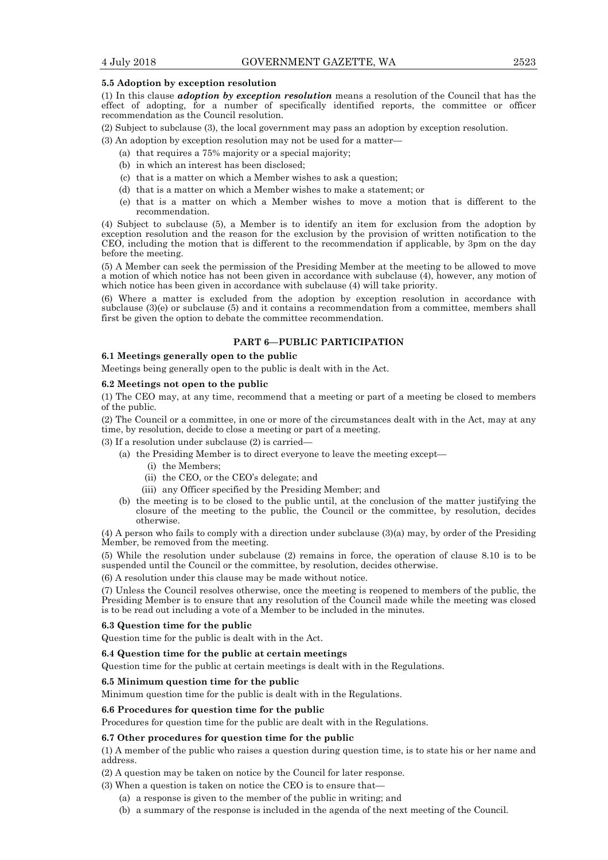## **5.5 Adoption by exception resolution**

(1) In this clause *adoption by exception resolution* means a resolution of the Council that has the effect of adopting, for a number of specifically identified reports, the committee or officer recommendation as the Council resolution.

(2) Subject to subclause (3), the local government may pass an adoption by exception resolution.

(3) An adoption by exception resolution may not be used for a matter—

- (a) that requires a 75% majority or a special majority;
- (b) in which an interest has been disclosed;
- (c) that is a matter on which a Member wishes to ask a question;
- (d) that is a matter on which a Member wishes to make a statement; or
- (e) that is a matter on which a Member wishes to move a motion that is different to the recommendation.

(4) Subject to subclause (5), a Member is to identify an item for exclusion from the adoption by exception resolution and the reason for the exclusion by the provision of written notification to the CEO, including the motion that is different to the recommendation if applicable, by 3pm on the day before the meeting.

(5) A Member can seek the permission of the Presiding Member at the meeting to be allowed to move a motion of which notice has not been given in accordance with subclause (4), however, any motion of which notice has been given in accordance with subclause (4) will take priority.

(6) Where a matter is excluded from the adoption by exception resolution in accordance with subclause (3)(e) or subclause (5) and it contains a recommendation from a committee, members shall first be given the option to debate the committee recommendation.

# **PART 6—PUBLIC PARTICIPATION**

# **6.1 Meetings generally open to the public**

Meetings being generally open to the public is dealt with in the Act.

### **6.2 Meetings not open to the public**

(1) The CEO may, at any time, recommend that a meeting or part of a meeting be closed to members of the public.

(2) The Council or a committee, in one or more of the circumstances dealt with in the Act, may at any time, by resolution, decide to close a meeting or part of a meeting.

(3) If a resolution under subclause (2) is carried—

- (a) the Presiding Member is to direct everyone to leave the meeting except—
	- (i) the Members;
	- (ii) the CEO, or the CEO's delegate; and
	- (iii) any Officer specified by the Presiding Member; and
- (b) the meeting is to be closed to the public until, at the conclusion of the matter justifying the closure of the meeting to the public, the Council or the committee, by resolution, decides otherwise.

(4) A person who fails to comply with a direction under subclause (3)(a) may, by order of the Presiding Member, be removed from the meeting.

(5) While the resolution under subclause (2) remains in force, the operation of clause 8.10 is to be suspended until the Council or the committee, by resolution, decides otherwise.

(6) A resolution under this clause may be made without notice.

(7) Unless the Council resolves otherwise, once the meeting is reopened to members of the public, the Presiding Member is to ensure that any resolution of the Council made while the meeting was closed is to be read out including a vote of a Member to be included in the minutes.

#### **6.3 Question time for the public**

Question time for the public is dealt with in the Act.

## **6.4 Question time for the public at certain meetings**

Question time for the public at certain meetings is dealt with in the Regulations.

#### **6.5 Minimum question time for the public**

Minimum question time for the public is dealt with in the Regulations.

#### **6.6 Procedures for question time for the public**

Procedures for question time for the public are dealt with in the Regulations.

#### **6.7 Other procedures for question time for the public**

(1) A member of the public who raises a question during question time, is to state his or her name and address.

(2) A question may be taken on notice by the Council for later response.

(3) When a question is taken on notice the CEO is to ensure that—

(a) a response is given to the member of the public in writing; and

(b) a summary of the response is included in the agenda of the next meeting of the Council.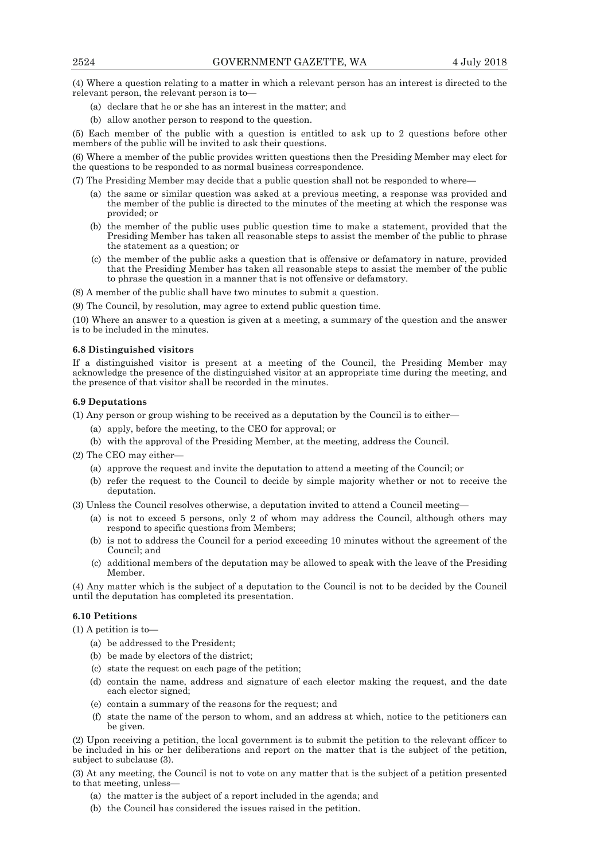(4) Where a question relating to a matter in which a relevant person has an interest is directed to the relevant person, the relevant person is to—

- (a) declare that he or she has an interest in the matter; and
- (b) allow another person to respond to the question.

(5) Each member of the public with a question is entitled to ask up to 2 questions before other members of the public will be invited to ask their questions.

(6) Where a member of the public provides written questions then the Presiding Member may elect for the questions to be responded to as normal business correspondence.

(7) The Presiding Member may decide that a public question shall not be responded to where—

- (a) the same or similar question was asked at a previous meeting, a response was provided and the member of the public is directed to the minutes of the meeting at which the response was provided; or
- (b) the member of the public uses public question time to make a statement, provided that the Presiding Member has taken all reasonable steps to assist the member of the public to phrase the statement as a question; or
- (c) the member of the public asks a question that is offensive or defamatory in nature, provided that the Presiding Member has taken all reasonable steps to assist the member of the public to phrase the question in a manner that is not offensive or defamatory.

(8) A member of the public shall have two minutes to submit a question.

(9) The Council, by resolution, may agree to extend public question time.

(10) Where an answer to a question is given at a meeting, a summary of the question and the answer is to be included in the minutes.

#### **6.8 Distinguished visitors**

If a distinguished visitor is present at a meeting of the Council, the Presiding Member may acknowledge the presence of the distinguished visitor at an appropriate time during the meeting, and the presence of that visitor shall be recorded in the minutes.

#### **6.9 Deputations**

(1) Any person or group wishing to be received as a deputation by the Council is to either—

- (a) apply, before the meeting, to the CEO for approval; or
- (b) with the approval of the Presiding Member, at the meeting, address the Council.

(2) The CEO may either—

- (a) approve the request and invite the deputation to attend a meeting of the Council; or
- (b) refer the request to the Council to decide by simple majority whether or not to receive the deputation.

(3) Unless the Council resolves otherwise, a deputation invited to attend a Council meeting—

- (a) is not to exceed 5 persons, only 2 of whom may address the Council, although others may respond to specific questions from Members;
- (b) is not to address the Council for a period exceeding 10 minutes without the agreement of the Council; and
- (c) additional members of the deputation may be allowed to speak with the leave of the Presiding Member.

(4) Any matter which is the subject of a deputation to the Council is not to be decided by the Council until the deputation has completed its presentation.

#### **6.10 Petitions**

(1) A petition is to—

- (a) be addressed to the President;
- (b) be made by electors of the district;
- (c) state the request on each page of the petition;
- (d) contain the name, address and signature of each elector making the request, and the date each elector signed;
- (e) contain a summary of the reasons for the request; and
- (f) state the name of the person to whom, and an address at which, notice to the petitioners can be given.

(2) Upon receiving a petition, the local government is to submit the petition to the relevant officer to be included in his or her deliberations and report on the matter that is the subject of the petition, subject to subclause (3).

(3) At any meeting, the Council is not to vote on any matter that is the subject of a petition presented to that meeting, unless—

- (a) the matter is the subject of a report included in the agenda; and
- (b) the Council has considered the issues raised in the petition.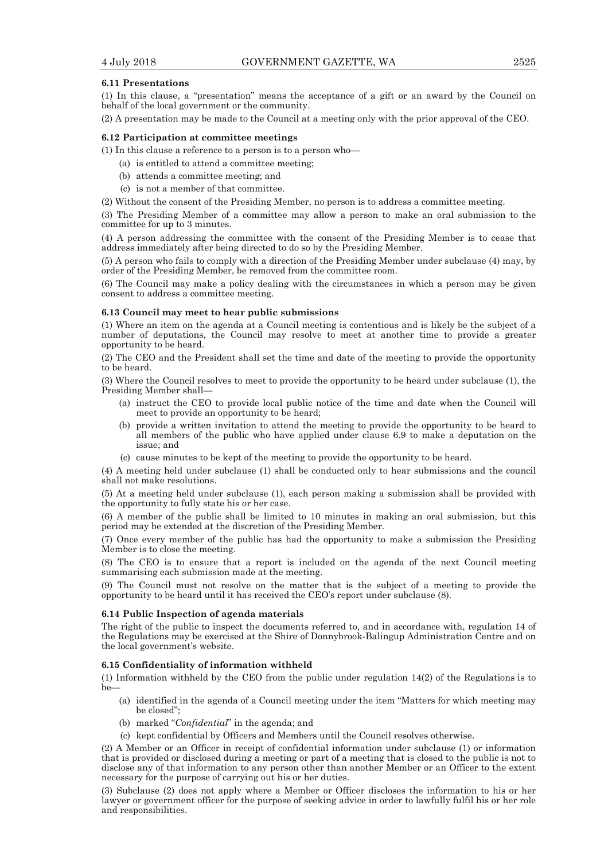#### **6.11 Presentations**

(1) In this clause, a "presentation" means the acceptance of a gift or an award by the Council on behalf of the local government or the community.

(2) A presentation may be made to the Council at a meeting only with the prior approval of the CEO.

#### **6.12 Participation at committee meetings**

(1) In this clause a reference to a person is to a person who—

- (a) is entitled to attend a committee meeting;
- (b) attends a committee meeting; and
- (c) is not a member of that committee.

(2) Without the consent of the Presiding Member, no person is to address a committee meeting.

(3) The Presiding Member of a committee may allow a person to make an oral submission to the committee for up to 3 minutes.

(4) A person addressing the committee with the consent of the Presiding Member is to cease that address immediately after being directed to do so by the Presiding Member.

(5) A person who fails to comply with a direction of the Presiding Member under subclause (4) may, by order of the Presiding Member, be removed from the committee room.

(6) The Council may make a policy dealing with the circumstances in which a person may be given consent to address a committee meeting.

#### **6.13 Council may meet to hear public submissions**

(1) Where an item on the agenda at a Council meeting is contentious and is likely be the subject of a number of deputations, the Council may resolve to meet at another time to provide a greater opportunity to be heard.

(2) The CEO and the President shall set the time and date of the meeting to provide the opportunity to be heard.

(3) Where the Council resolves to meet to provide the opportunity to be heard under subclause (1), the Presiding Member shall—

- (a) instruct the CEO to provide local public notice of the time and date when the Council will meet to provide an opportunity to be heard;
- (b) provide a written invitation to attend the meeting to provide the opportunity to be heard to all members of the public who have applied under clause 6.9 to make a deputation on the issue; and
- (c) cause minutes to be kept of the meeting to provide the opportunity to be heard.

(4) A meeting held under subclause (1) shall be conducted only to hear submissions and the council shall not make resolutions.

(5) At a meeting held under subclause (1), each person making a submission shall be provided with the opportunity to fully state his or her case.

(6) A member of the public shall be limited to 10 minutes in making an oral submission, but this period may be extended at the discretion of the Presiding Member.

(7) Once every member of the public has had the opportunity to make a submission the Presiding Member is to close the meeting.

(8) The CEO is to ensure that a report is included on the agenda of the next Council meeting summarising each submission made at the meeting.

(9) The Council must not resolve on the matter that is the subject of a meeting to provide the opportunity to be heard until it has received the CEO's report under subclause (8).

# **6.14 Public Inspection of agenda materials**

The right of the public to inspect the documents referred to, and in accordance with, regulation 14 of the Regulations may be exercised at the Shire of Donnybrook-Balingup Administration Centre and on the local government's website.

## **6.15 Confidentiality of information withheld**

(1) Information withheld by the CEO from the public under regulation 14(2) of the Regulations is to be—

- (a) identified in the agenda of a Council meeting under the item "Matters for which meeting may be closed";
- (b) marked "*Confidential*" in the agenda; and
- (c) kept confidential by Officers and Members until the Council resolves otherwise.

(2) A Member or an Officer in receipt of confidential information under subclause (1) or information that is provided or disclosed during a meeting or part of a meeting that is closed to the public is not to disclose any of that information to any person other than another Member or an Officer to the extent necessary for the purpose of carrying out his or her duties.

(3) Subclause (2) does not apply where a Member or Officer discloses the information to his or her lawyer or government officer for the purpose of seeking advice in order to lawfully fulfil his or her role and responsibilities.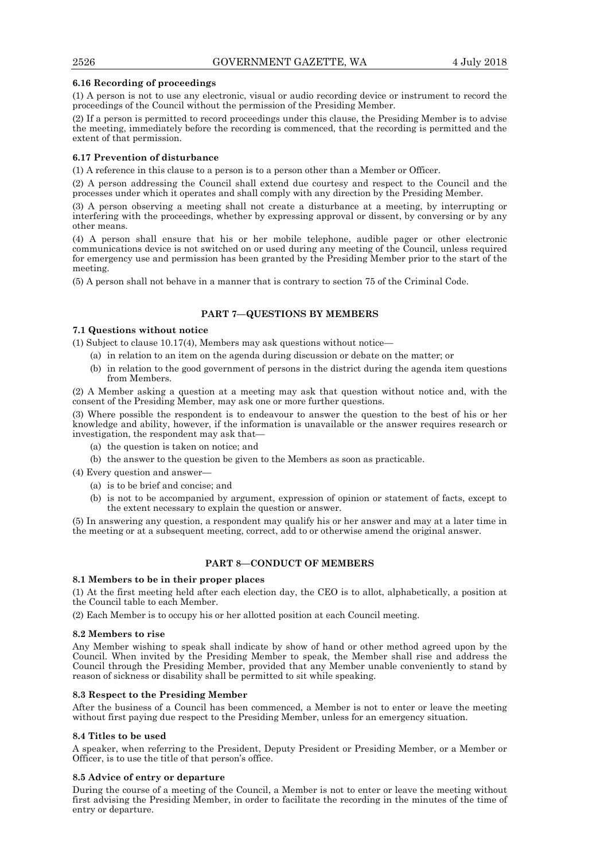## **6.16 Recording of proceedings**

(1) A person is not to use any electronic, visual or audio recording device or instrument to record the proceedings of the Council without the permission of the Presiding Member.

(2) If a person is permitted to record proceedings under this clause, the Presiding Member is to advise the meeting, immediately before the recording is commenced, that the recording is permitted and the extent of that permission.

## **6.17 Prevention of disturbance**

(1) A reference in this clause to a person is to a person other than a Member or Officer.

(2) A person addressing the Council shall extend due courtesy and respect to the Council and the processes under which it operates and shall comply with any direction by the Presiding Member.

(3) A person observing a meeting shall not create a disturbance at a meeting, by interrupting or interfering with the proceedings, whether by expressing approval or dissent, by conversing or by any other means.

(4) A person shall ensure that his or her mobile telephone, audible pager or other electronic communications device is not switched on or used during any meeting of the Council, unless required for emergency use and permission has been granted by the Presiding Member prior to the start of the meeting.

(5) A person shall not behave in a manner that is contrary to section 75 of the Criminal Code.

# **PART 7—QUESTIONS BY MEMBERS**

# **7.1 Questions without notice**

(1) Subject to clause  $10.17(4)$ , Members may ask questions without notice—

- (a) in relation to an item on the agenda during discussion or debate on the matter; or
- (b) in relation to the good government of persons in the district during the agenda item questions from Members.

(2) A Member asking a question at a meeting may ask that question without notice and, with the consent of the Presiding Member, may ask one or more further questions.

(3) Where possible the respondent is to endeavour to answer the question to the best of his or her knowledge and ability, however, if the information is unavailable or the answer requires research or investigation, the respondent may ask that—

- (a) the question is taken on notice; and
- (b) the answer to the question be given to the Members as soon as practicable.
- (4) Every question and answer—
	- (a) is to be brief and concise; and
	- (b) is not to be accompanied by argument, expression of opinion or statement of facts, except to the extent necessary to explain the question or answer.

(5) In answering any question, a respondent may qualify his or her answer and may at a later time in the meeting or at a subsequent meeting, correct, add to or otherwise amend the original answer.

## **PART 8—CONDUCT OF MEMBERS**

#### **8.1 Members to be in their proper places**

(1) At the first meeting held after each election day, the CEO is to allot, alphabetically, a position at the Council table to each Member.

(2) Each Member is to occupy his or her allotted position at each Council meeting.

#### **8.2 Members to rise**

Any Member wishing to speak shall indicate by show of hand or other method agreed upon by the Council. When invited by the Presiding Member to speak, the Member shall rise and address the Council through the Presiding Member, provided that any Member unable conveniently to stand by reason of sickness or disability shall be permitted to sit while speaking.

## **8.3 Respect to the Presiding Member**

After the business of a Council has been commenced, a Member is not to enter or leave the meeting without first paying due respect to the Presiding Member, unless for an emergency situation.

## **8.4 Titles to be used**

A speaker, when referring to the President, Deputy President or Presiding Member, or a Member or Officer, is to use the title of that person's office.

## **8.5 Advice of entry or departure**

During the course of a meeting of the Council, a Member is not to enter or leave the meeting without first advising the Presiding Member, in order to facilitate the recording in the minutes of the time of entry or departure.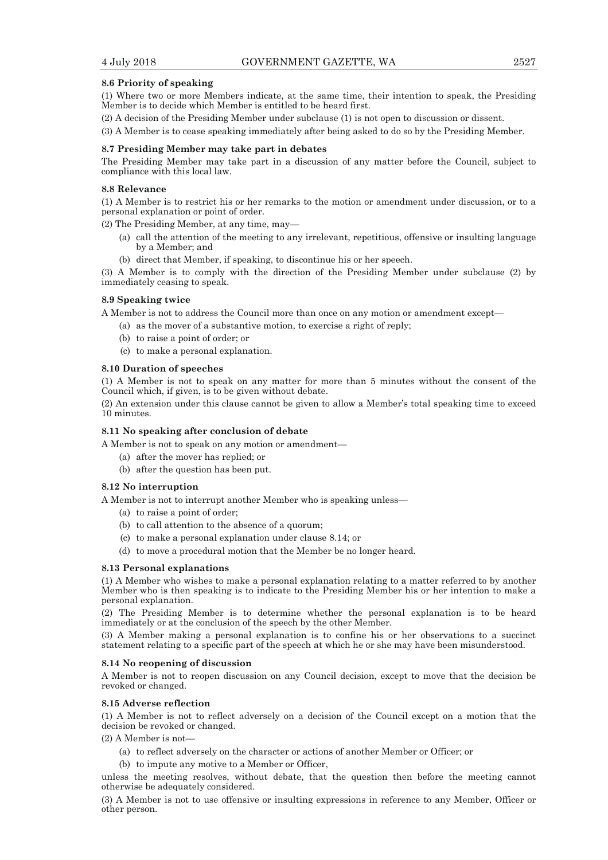## **8.6 Priority of speaking**

(1) Where two or more Members indicate, at the same time, their intention to speak, the Presiding Member is to decide which Member is entitled to be heard first.

(2) A decision of the Presiding Member under subclause (1) is not open to discussion or dissent.

(3) A Member is to cease speaking immediately after being asked to do so by the Presiding Member.

## **8.7 Presiding Member may take part in debates**

The Presiding Member may take part in a discussion of any matter before the Council, subject to compliance with this local law.

## **8.8 Relevance**

(1) A Member is to restrict his or her remarks to the motion or amendment under discussion, or to a personal explanation or point of order.

(2) The Presiding Member, at any time, may—

- (a) call the attention of the meeting to any irrelevant, repetitious, offensive or insulting language by a Member; and
- (b) direct that Member, if speaking, to discontinue his or her speech.

(3) A Member is to comply with the direction of the Presiding Member under subclause (2) by immediately ceasing to speak.

## **8.9 Speaking twice**

A Member is not to address the Council more than once on any motion or amendment except—

- (a) as the mover of a substantive motion, to exercise a right of reply;
- (b) to raise a point of order; or
- (c) to make a personal explanation.

## **8.10 Duration of speeches**

(1) A Member is not to speak on any matter for more than 5 minutes without the consent of the Council which, if given, is to be given without debate.

(2) An extension under this clause cannot be given to allow a Member's total speaking time to exceed 10 minutes.

# **8.11 No speaking after conclusion of debate**

A Member is not to speak on any motion or amendment—

- (a) after the mover has replied; or
- (b) after the question has been put.

## **8.12 No interruption**

A Member is not to interrupt another Member who is speaking unless—

- (a) to raise a point of order;
- (b) to call attention to the absence of a quorum;
- (c) to make a personal explanation under clause 8.14; or
- (d) to move a procedural motion that the Member be no longer heard.

#### **8.13 Personal explanations**

(1) A Member who wishes to make a personal explanation relating to a matter referred to by another Member who is then speaking is to indicate to the Presiding Member his or her intention to make a personal explanation.

(2) The Presiding Member is to determine whether the personal explanation is to be heard immediately or at the conclusion of the speech by the other Member.

(3) A Member making a personal explanation is to confine his or her observations to a succinct statement relating to a specific part of the speech at which he or she may have been misunderstood.

#### **8.14 No reopening of discussion**

A Member is not to reopen discussion on any Council decision, except to move that the decision be revoked or changed.

#### **8.15 Adverse reflection**

(1) A Member is not to reflect adversely on a decision of the Council except on a motion that the decision be revoked or changed.

 $(2)$  A Member is not-

- (a) to reflect adversely on the character or actions of another Member or Officer; or
- (b) to impute any motive to a Member or Officer,

unless the meeting resolves, without debate, that the question then before the meeting cannot otherwise be adequately considered.

(3) A Member is not to use offensive or insulting expressions in reference to any Member, Officer or other person.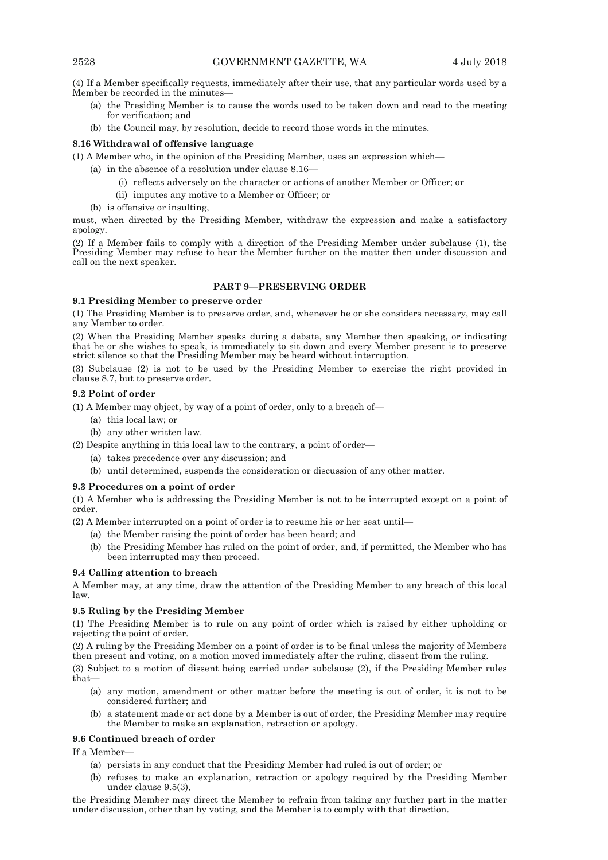(4) If a Member specifically requests, immediately after their use, that any particular words used by a Member be recorded in the minutes—

- (a) the Presiding Member is to cause the words used to be taken down and read to the meeting for verification; and
- (b) the Council may, by resolution, decide to record those words in the minutes.

## **8.16 Withdrawal of offensive language**

(1) A Member who, in the opinion of the Presiding Member, uses an expression which—

- (a) in the absence of a resolution under clause 8.16—
	- (i) reflects adversely on the character or actions of another Member or Officer; or
	- (ii) imputes any motive to a Member or Officer; or
	- (b) is offensive or insulting,

must, when directed by the Presiding Member, withdraw the expression and make a satisfactory apology.

(2) If a Member fails to comply with a direction of the Presiding Member under subclause (1), the Presiding Member may refuse to hear the Member further on the matter then under discussion and call on the next speaker.

# **PART 9—PRESERVING ORDER**

## **9.1 Presiding Member to preserve order**

(1) The Presiding Member is to preserve order, and, whenever he or she considers necessary, may call any Member to order.

(2) When the Presiding Member speaks during a debate, any Member then speaking, or indicating that he or she wishes to speak, is immediately to sit down and every Member present is to preserve strict silence so that the Presiding Member may be heard without interruption.

(3) Subclause (2) is not to be used by the Presiding Member to exercise the right provided in clause 8.7, but to preserve order.

#### **9.2 Point of order**

(1) A Member may object, by way of a point of order, only to a breach of—

- (a) this local law; or
- (b) any other written law.

(2) Despite anything in this local law to the contrary, a point of order—

- (a) takes precedence over any discussion; and
- (b) until determined, suspends the consideration or discussion of any other matter.

## **9.3 Procedures on a point of order**

(1) A Member who is addressing the Presiding Member is not to be interrupted except on a point of order.

(2) A Member interrupted on a point of order is to resume his or her seat until—

- (a) the Member raising the point of order has been heard; and
- (b) the Presiding Member has ruled on the point of order, and, if permitted, the Member who has been interrupted may then proceed.

## **9.4 Calling attention to breach**

A Member may, at any time, draw the attention of the Presiding Member to any breach of this local law.

## **9.5 Ruling by the Presiding Member**

(1) The Presiding Member is to rule on any point of order which is raised by either upholding or rejecting the point of order.

(2) A ruling by the Presiding Member on a point of order is to be final unless the majority of Members then present and voting, on a motion moved immediately after the ruling, dissent from the ruling.

(3) Subject to a motion of dissent being carried under subclause (2), if the Presiding Member rules that—

- (a) any motion, amendment or other matter before the meeting is out of order, it is not to be considered further; and
- (b) a statement made or act done by a Member is out of order, the Presiding Member may require the Member to make an explanation, retraction or apology.

## **9.6 Continued breach of order**

If a Member—

- (a) persists in any conduct that the Presiding Member had ruled is out of order; or
- (b) refuses to make an explanation, retraction or apology required by the Presiding Member under clause 9.5(3),

the Presiding Member may direct the Member to refrain from taking any further part in the matter under discussion, other than by voting, and the Member is to comply with that direction.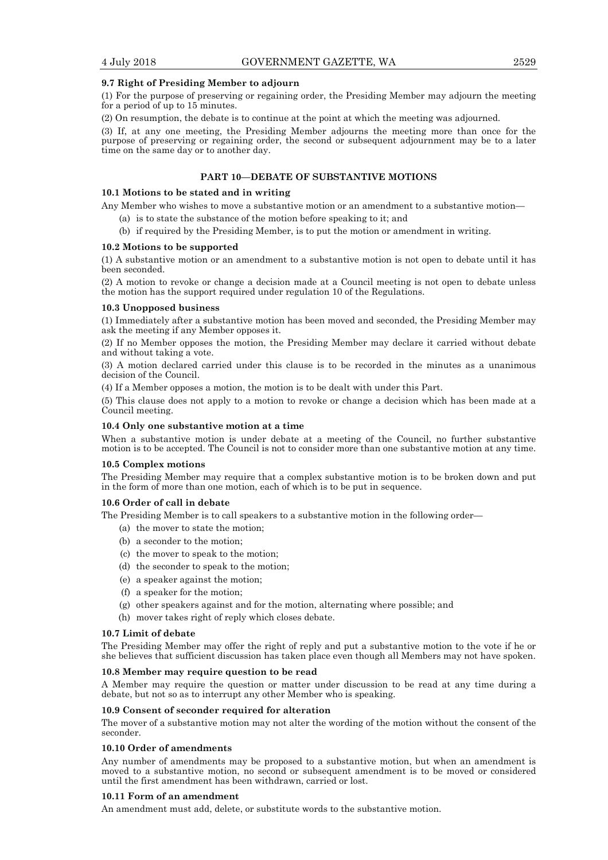#### **9.7 Right of Presiding Member to adjourn**

(1) For the purpose of preserving or regaining order, the Presiding Member may adjourn the meeting for a period of up to 15 minutes.

(2) On resumption, the debate is to continue at the point at which the meeting was adjourned.

(3) If, at any one meeting, the Presiding Member adjourns the meeting more than once for the purpose of preserving or regaining order, the second or subsequent adjournment may be to a later time on the same day or to another day.

# **PART 10—DEBATE OF SUBSTANTIVE MOTIONS**

#### **10.1 Motions to be stated and in writing**

Any Member who wishes to move a substantive motion or an amendment to a substantive motion—

- (a) is to state the substance of the motion before speaking to it; and
- (b) if required by the Presiding Member, is to put the motion or amendment in writing.

#### **10.2 Motions to be supported**

(1) A substantive motion or an amendment to a substantive motion is not open to debate until it has been seconded.

(2) A motion to revoke or change a decision made at a Council meeting is not open to debate unless the motion has the support required under regulation 10 of the Regulations.

#### **10.3 Unopposed business**

(1) Immediately after a substantive motion has been moved and seconded, the Presiding Member may ask the meeting if any Member opposes it.

(2) If no Member opposes the motion, the Presiding Member may declare it carried without debate and without taking a vote.

(3) A motion declared carried under this clause is to be recorded in the minutes as a unanimous decision of the Council.

(4) If a Member opposes a motion, the motion is to be dealt with under this Part.

(5) This clause does not apply to a motion to revoke or change a decision which has been made at a Council meeting.

#### **10.4 Only one substantive motion at a time**

When a substantive motion is under debate at a meeting of the Council, no further substantive motion is to be accepted. The Council is not to consider more than one substantive motion at any time.

## **10.5 Complex motions**

The Presiding Member may require that a complex substantive motion is to be broken down and put in the form of more than one motion, each of which is to be put in sequence.

### **10.6 Order of call in debate**

The Presiding Member is to call speakers to a substantive motion in the following order—

- (a) the mover to state the motion;
- (b) a seconder to the motion;
- (c) the mover to speak to the motion;
- (d) the seconder to speak to the motion;
- (e) a speaker against the motion;
- (f) a speaker for the motion;
- (g) other speakers against and for the motion, alternating where possible; and
- (h) mover takes right of reply which closes debate.

#### **10.7 Limit of debate**

The Presiding Member may offer the right of reply and put a substantive motion to the vote if he or she believes that sufficient discussion has taken place even though all Members may not have spoken.

#### **10.8 Member may require question to be read**

A Member may require the question or matter under discussion to be read at any time during a debate, but not so as to interrupt any other Member who is speaking.

#### **10.9 Consent of seconder required for alteration**

The mover of a substantive motion may not alter the wording of the motion without the consent of the seconder.

#### **10.10 Order of amendments**

Any number of amendments may be proposed to a substantive motion, but when an amendment is moved to a substantive motion, no second or subsequent amendment is to be moved or considered until the first amendment has been withdrawn, carried or lost.

#### **10.11 Form of an amendment**

An amendment must add, delete, or substitute words to the substantive motion.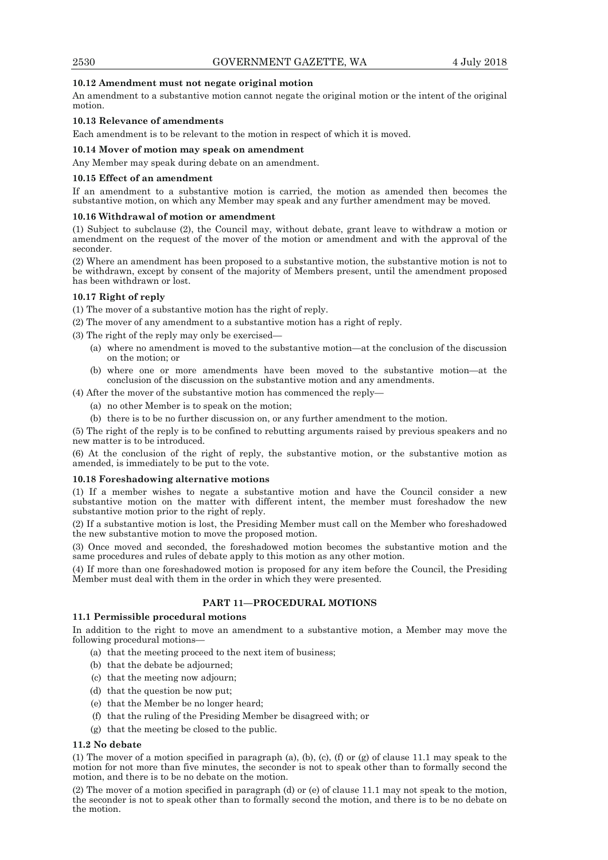## **10.12 Amendment must not negate original motion**

An amendment to a substantive motion cannot negate the original motion or the intent of the original motion.

## **10.13 Relevance of amendments**

Each amendment is to be relevant to the motion in respect of which it is moved.

## **10.14 Mover of motion may speak on amendment**

Any Member may speak during debate on an amendment.

#### **10.15 Effect of an amendment**

If an amendment to a substantive motion is carried, the motion as amended then becomes the substantive motion, on which any Member may speak and any further amendment may be moved.

## **10.16 Withdrawal of motion or amendment**

(1) Subject to subclause (2), the Council may, without debate, grant leave to withdraw a motion or amendment on the request of the mover of the motion or amendment and with the approval of the seconder.

(2) Where an amendment has been proposed to a substantive motion, the substantive motion is not to be withdrawn, except by consent of the majority of Members present, until the amendment proposed has been withdrawn or lost.

## **10.17 Right of reply**

(1) The mover of a substantive motion has the right of reply.

(2) The mover of any amendment to a substantive motion has a right of reply.

(3) The right of the reply may only be exercised—

- (a) where no amendment is moved to the substantive motion—at the conclusion of the discussion on the motion; or
- (b) where one or more amendments have been moved to the substantive motion—at the conclusion of the discussion on the substantive motion and any amendments.
- (4) After the mover of the substantive motion has commenced the reply—
	- (a) no other Member is to speak on the motion;
	- (b) there is to be no further discussion on, or any further amendment to the motion.

(5) The right of the reply is to be confined to rebutting arguments raised by previous speakers and no new matter is to be introduced.

(6) At the conclusion of the right of reply, the substantive motion, or the substantive motion as amended, is immediately to be put to the vote.

## **10.18 Foreshadowing alternative motions**

(1) If a member wishes to negate a substantive motion and have the Council consider a new substantive motion on the matter with different intent, the member must foreshadow the new substantive motion prior to the right of reply.

(2) If a substantive motion is lost, the Presiding Member must call on the Member who foreshadowed the new substantive motion to move the proposed motion.

(3) Once moved and seconded, the foreshadowed motion becomes the substantive motion and the same procedures and rules of debate apply to this motion as any other motion.

(4) If more than one foreshadowed motion is proposed for any item before the Council, the Presiding Member must deal with them in the order in which they were presented.

# **PART 11—PROCEDURAL MOTIONS**

#### **11.1 Permissible procedural motions**

In addition to the right to move an amendment to a substantive motion, a Member may move the following procedural motions—

- (a) that the meeting proceed to the next item of business;
- (b) that the debate be adjourned;
- (c) that the meeting now adjourn;
- (d) that the question be now put;
- (e) that the Member be no longer heard;
- (f) that the ruling of the Presiding Member be disagreed with; or
- (g) that the meeting be closed to the public.

# **11.2 No debate**

(1) The mover of a motion specified in paragraph (a), (b), (c), (f) or (g) of clause 11.1 may speak to the motion for not more than five minutes, the seconder is not to speak other than to formally second the motion, and there is to be no debate on the motion.

(2) The mover of a motion specified in paragraph (d) or (e) of clause 11.1 may not speak to the motion, the seconder is not to speak other than to formally second the motion, and there is to be no debate on the motion.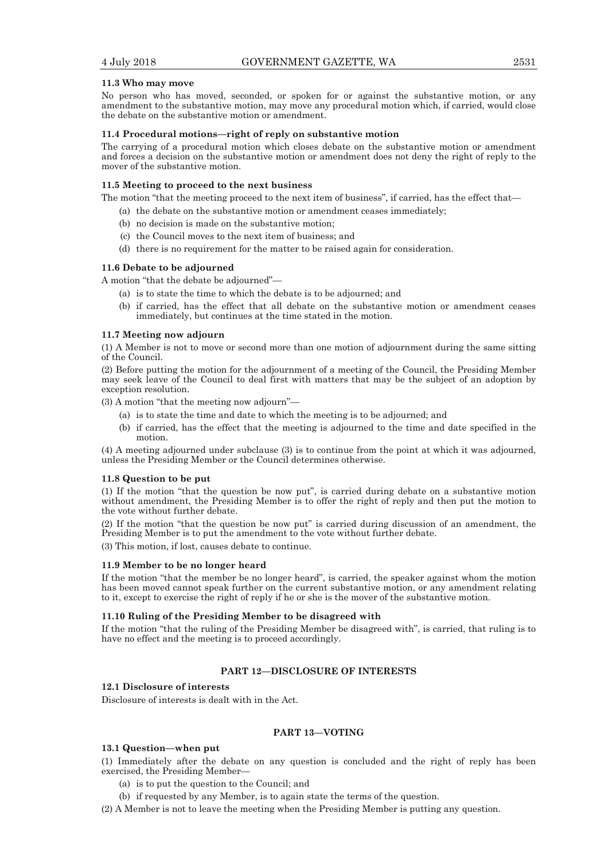#### **11.3 Who may move**

No person who has moved, seconded, or spoken for or against the substantive motion, or any amendment to the substantive motion, may move any procedural motion which, if carried, would close the debate on the substantive motion or amendment.

#### **11.4 Procedural motions—right of reply on substantive motion**

The carrying of a procedural motion which closes debate on the substantive motion or amendment and forces a decision on the substantive motion or amendment does not deny the right of reply to the mover of the substantive motion.

#### **11.5 Meeting to proceed to the next business**

The motion "that the meeting proceed to the next item of business", if carried, has the effect that—

- (a) the debate on the substantive motion or amendment ceases immediately;
	- (b) no decision is made on the substantive motion;
	- (c) the Council moves to the next item of business; and
	- (d) there is no requirement for the matter to be raised again for consideration.

#### **11.6 Debate to be adjourned**

A motion "that the debate be adjourned"—

- (a) is to state the time to which the debate is to be adjourned; and
- (b) if carried, has the effect that all debate on the substantive motion or amendment ceases immediately, but continues at the time stated in the motion.

#### **11.7 Meeting now adjourn**

(1) A Member is not to move or second more than one motion of adjournment during the same sitting of the Council.

(2) Before putting the motion for the adjournment of a meeting of the Council, the Presiding Member may seek leave of the Council to deal first with matters that may be the subject of an adoption by exception resolution.

(3) A motion "that the meeting now adjourn"—

- (a) is to state the time and date to which the meeting is to be adjourned; and
- (b) if carried, has the effect that the meeting is adjourned to the time and date specified in the motion.

(4) A meeting adjourned under subclause (3) is to continue from the point at which it was adjourned, unless the Presiding Member or the Council determines otherwise.

#### **11.8 Question to be put**

(1) If the motion "that the question be now put", is carried during debate on a substantive motion without amendment, the Presiding Member is to offer the right of reply and then put the motion to the vote without further debate.

(2) If the motion "that the question be now put" is carried during discussion of an amendment, the Presiding Member is to put the amendment to the vote without further debate.

(3) This motion, if lost, causes debate to continue.

#### **11.9 Member to be no longer heard**

If the motion "that the member be no longer heard", is carried, the speaker against whom the motion has been moved cannot speak further on the current substantive motion, or any amendment relating to it, except to exercise the right of reply if he or she is the mover of the substantive motion.

#### **11.10 Ruling of the Presiding Member to be disagreed with**

If the motion "that the ruling of the Presiding Member be disagreed with", is carried, that ruling is to have no effect and the meeting is to proceed accordingly.

#### **PART 12—DISCLOSURE OF INTERESTS**

## **12.1 Disclosure of interests**

Disclosure of interests is dealt with in the Act.

# **PART 13—VOTING**

#### **13.1 Question—when put**

(1) Immediately after the debate on any question is concluded and the right of reply has been exercised, the Presiding Member—

- (a) is to put the question to the Council; and
- (b) if requested by any Member, is to again state the terms of the question.

(2) A Member is not to leave the meeting when the Presiding Member is putting any question.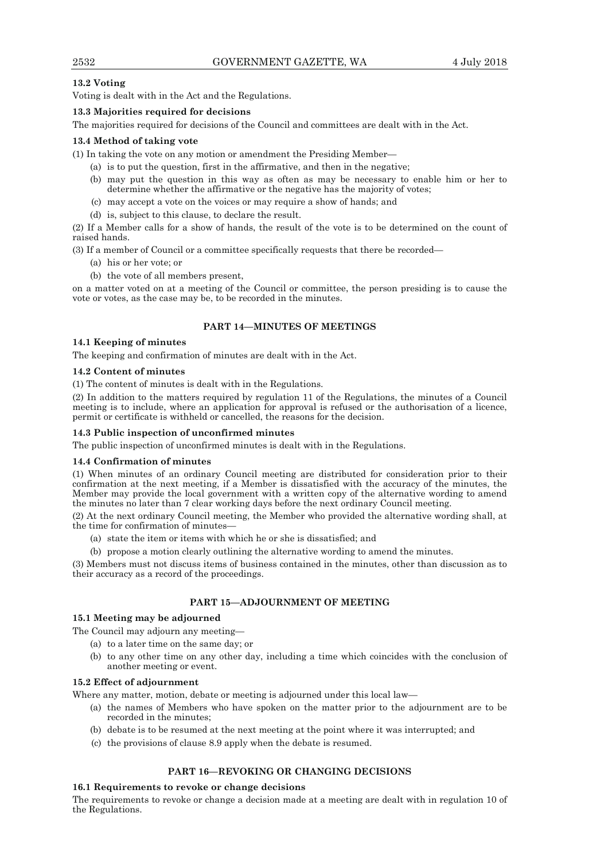# **13.2 Voting**

Voting is dealt with in the Act and the Regulations.

## **13.3 Majorities required for decisions**

The majorities required for decisions of the Council and committees are dealt with in the Act.

## **13.4 Method of taking vote**

(1) In taking the vote on any motion or amendment the Presiding Member—

- (a) is to put the question, first in the affirmative, and then in the negative;
- (b) may put the question in this way as often as may be necessary to enable him or her to determine whether the affirmative or the negative has the majority of votes;
- (c) may accept a vote on the voices or may require a show of hands; and
- (d) is, subject to this clause, to declare the result.

(2) If a Member calls for a show of hands, the result of the vote is to be determined on the count of raised hands.

(3) If a member of Council or a committee specifically requests that there be recorded—

- (a) his or her vote; or
- (b) the vote of all members present,

on a matter voted on at a meeting of the Council or committee, the person presiding is to cause the vote or votes, as the case may be, to be recorded in the minutes.

## **PART 14—MINUTES OF MEETINGS**

## **14.1 Keeping of minutes**

The keeping and confirmation of minutes are dealt with in the Act.

## **14.2 Content of minutes**

(1) The content of minutes is dealt with in the Regulations.

(2) In addition to the matters required by regulation 11 of the Regulations, the minutes of a Council meeting is to include, where an application for approval is refused or the authorisation of a licence, permit or certificate is withheld or cancelled, the reasons for the decision.

## **14.3 Public inspection of unconfirmed minutes**

The public inspection of unconfirmed minutes is dealt with in the Regulations.

## **14.4 Confirmation of minutes**

(1) When minutes of an ordinary Council meeting are distributed for consideration prior to their confirmation at the next meeting, if a Member is dissatisfied with the accuracy of the minutes, the Member may provide the local government with a written copy of the alternative wording to amend the minutes no later than 7 clear working days before the next ordinary Council meeting.

(2) At the next ordinary Council meeting, the Member who provided the alternative wording shall, at the time for confirmation of minutes—

(a) state the item or items with which he or she is dissatisfied; and

(b) propose a motion clearly outlining the alternative wording to amend the minutes.

(3) Members must not discuss items of business contained in the minutes, other than discussion as to their accuracy as a record of the proceedings.

# **PART 15—ADJOURNMENT OF MEETING**

## **15.1 Meeting may be adjourned**

The Council may adjourn any meeting—

- (a) to a later time on the same day; or
- (b) to any other time on any other day, including a time which coincides with the conclusion of another meeting or event.

## **15.2 Effect of adjournment**

Where any matter, motion, debate or meeting is adjourned under this local law—

- (a) the names of Members who have spoken on the matter prior to the adjournment are to be recorded in the minutes;
- (b) debate is to be resumed at the next meeting at the point where it was interrupted; and
- (c) the provisions of clause 8.9 apply when the debate is resumed.

## **PART 16—REVOKING OR CHANGING DECISIONS**

## **16.1 Requirements to revoke or change decisions**

The requirements to revoke or change a decision made at a meeting are dealt with in regulation 10 of the Regulations.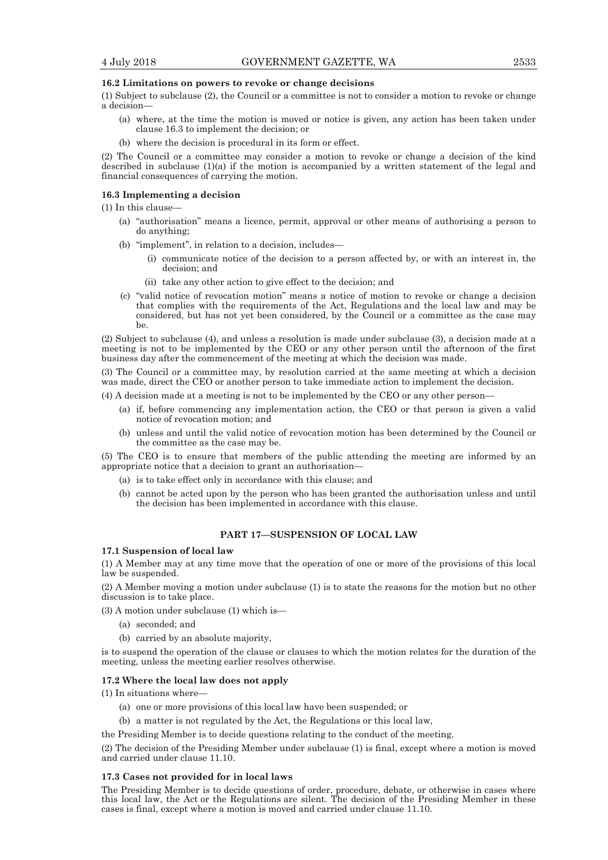#### **16.2 Limitations on powers to revoke or change decisions**

(1) Subject to subclause (2), the Council or a committee is not to consider a motion to revoke or change a decision—

- (a) where, at the time the motion is moved or notice is given, any action has been taken under clause 16.3 to implement the decision; or
- (b) where the decision is procedural in its form or effect.

(2) The Council or a committee may consider a motion to revoke or change a decision of the kind described in subclause (1)(a) if the motion is accompanied by a written statement of the legal and financial consequences of carrying the motion.

## **16.3 Implementing a decision**

(1) In this clause—

- (a) "authorisation" means a licence, permit, approval or other means of authorising a person to do anything;
- (b) "implement", in relation to a decision, includes—
	- (i) communicate notice of the decision to a person affected by, or with an interest in, the decision; and
	- (ii) take any other action to give effect to the decision; and
- (c) "valid notice of revocation motion" means a notice of motion to revoke or change a decision that complies with the requirements of the Act, Regulations and the local law and may be considered, but has not yet been considered, by the Council or a committee as the case may be.

(2) Subject to subclause (4), and unless a resolution is made under subclause (3), a decision made at a meeting is not to be implemented by the CEO or any other person until the afternoon of the first business day after the commencement of the meeting at which the decision was made.

(3) The Council or a committee may, by resolution carried at the same meeting at which a decision was made, direct the CEO or another person to take immediate action to implement the decision.

(4) A decision made at a meeting is not to be implemented by the CEO or any other person—

- (a) if, before commencing any implementation action, the CEO or that person is given a valid notice of revocation motion; and
- (b) unless and until the valid notice of revocation motion has been determined by the Council or the committee as the case may be.

(5) The CEO is to ensure that members of the public attending the meeting are informed by an appropriate notice that a decision to grant an authorisation—

- (a) is to take effect only in accordance with this clause; and
- (b) cannot be acted upon by the person who has been granted the authorisation unless and until the decision has been implemented in accordance with this clause.

## **PART 17—SUSPENSION OF LOCAL LAW**

#### **17.1 Suspension of local law**

(1) A Member may at any time move that the operation of one or more of the provisions of this local law be suspended.

(2) A Member moving a motion under subclause (1) is to state the reasons for the motion but no other discussion is to take place.

(3) A motion under subclause (1) which is—

- (a) seconded; and
- (b) carried by an absolute majority,

is to suspend the operation of the clause or clauses to which the motion relates for the duration of the meeting, unless the meeting earlier resolves otherwise.

#### **17.2 Where the local law does not apply**

(1) In situations where—

- (a) one or more provisions of this local law have been suspended; or
- (b) a matter is not regulated by the Act, the Regulations or this local law,

the Presiding Member is to decide questions relating to the conduct of the meeting.

(2) The decision of the Presiding Member under subclause (1) is final, except where a motion is moved and carried under clause 11.10.

#### **17.3 Cases not provided for in local laws**

The Presiding Member is to decide questions of order, procedure, debate, or otherwise in cases where this local law, the Act or the Regulations are silent. The decision of the Presiding Member in these cases is final, except where a motion is moved and carried under clause 11.10.